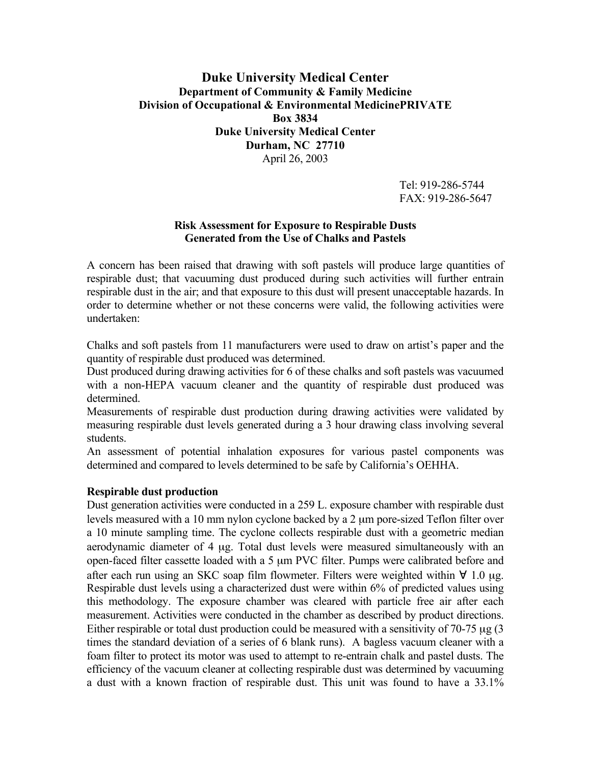# **Duke University Medical Center Department of Community & Family Medicine Division of Occupational & Environmental MedicinePRIVATE Box 3834 Duke University Medical Center Durham, NC 27710** April 26, 2003

Tel: 919-286-5744 FAX: 919-286-5647

## **Risk Assessment for Exposure to Respirable Dusts Generated from the Use of Chalks and Pastels**

A concern has been raised that drawing with soft pastels will produce large quantities of respirable dust; that vacuuming dust produced during such activities will further entrain respirable dust in the air; and that exposure to this dust will present unacceptable hazards. In order to determine whether or not these concerns were valid, the following activities were undertaken:

Chalks and soft pastels from 11 manufacturers were used to draw on artist's paper and the quantity of respirable dust produced was determined.

Dust produced during drawing activities for 6 of these chalks and soft pastels was vacuumed with a non-HEPA vacuum cleaner and the quantity of respirable dust produced was determined.

Measurements of respirable dust production during drawing activities were validated by measuring respirable dust levels generated during a 3 hour drawing class involving several students.

An assessment of potential inhalation exposures for various pastel components was determined and compared to levels determined to be safe by California's OEHHA.

## **Respirable dust production**

Dust generation activities were conducted in a 259 L. exposure chamber with respirable dust levels measured with a 10 mm nylon cyclone backed by a 2 µm pore-sized Teflon filter over a 10 minute sampling time. The cyclone collects respirable dust with a geometric median aerodynamic diameter of 4 µg. Total dust levels were measured simultaneously with an open-faced filter cassette loaded with a 5 µm PVC filter. Pumps were calibrated before and after each run using an SKC soap film flowmeter. Filters were weighted within ∀ 1.0 µg. Respirable dust levels using a characterized dust were within 6% of predicted values using this methodology. The exposure chamber was cleared with particle free air after each measurement. Activities were conducted in the chamber as described by product directions. Either respirable or total dust production could be measured with a sensitivity of 70-75 µg (3) times the standard deviation of a series of 6 blank runs). A bagless vacuum cleaner with a foam filter to protect its motor was used to attempt to re-entrain chalk and pastel dusts. The efficiency of the vacuum cleaner at collecting respirable dust was determined by vacuuming a dust with a known fraction of respirable dust. This unit was found to have a 33.1%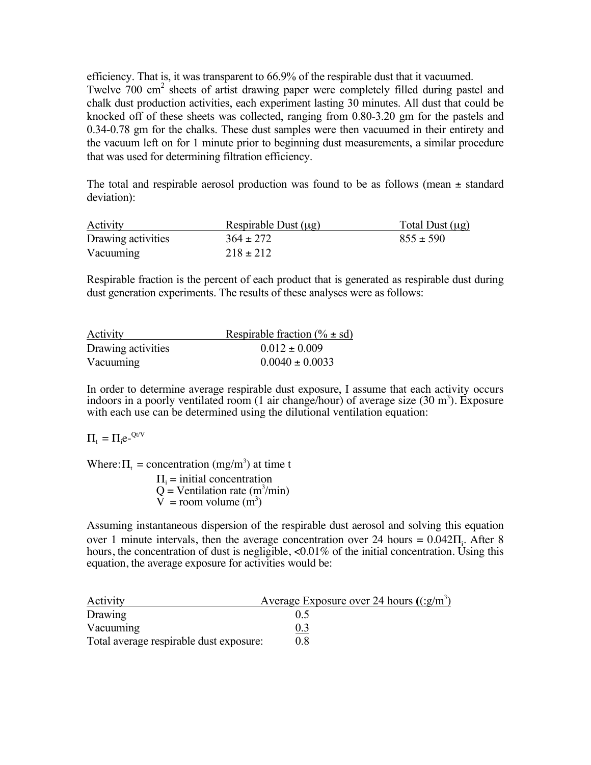efficiency. That is, it was transparent to 66.9% of the respirable dust that it vacuumed. Twelve 700 cm<sup>2</sup> sheets of artist drawing paper were completely filled during pastel and chalk dust production activities, each experiment lasting 30 minutes. All dust that could be knocked off of these sheets was collected, ranging from 0.80-3.20 gm for the pastels and 0.34-0.78 gm for the chalks. These dust samples were then vacuumed in their entirety and the vacuum left on for 1 minute prior to beginning dust measurements, a similar procedure that was used for determining filtration efficiency.

The total and respirable aerosol production was found to be as follows (mean  $\pm$  standard deviation):

| Activity           | Respirable Dust $(\mu g)$ | Total Dust $(\mu g)$ |
|--------------------|---------------------------|----------------------|
| Drawing activities | $364 \pm 272$             | $855 \pm 590$        |
| Vacuuming          | $218 \pm 212$             |                      |

Respirable fraction is the percent of each product that is generated as respirable dust during dust generation experiments. The results of these analyses were as follows:

| Activity           | Respirable fraction (% $\pm$ sd) |
|--------------------|----------------------------------|
| Drawing activities | $0.012 \pm 0.009$                |
| Vacuuming          | $0.0040 \pm 0.0033$              |

In order to determine average respirable dust exposure, I assume that each activity occurs indoors in a poorly ventilated room (1 air change/hour) of average size  $(30 \text{ m}^3)$ . Exposure with each use can be determined using the dilutional ventilation equation:

 $\Pi_t = \Pi_i e^{-Qt/V}$ 

Where:  $\Pi_t$  = concentration (mg/m<sup>3</sup>) at time t

 $\Pi_i$  = initial concentration  $Q =$  Ventilation rate (m<sup>3</sup>/min)  $\overline{V}$  = room volume (m<sup>3</sup>)

Assuming instantaneous dispersion of the respirable dust aerosol and solving this equation over 1 minute intervals, then the average concentration over 24 hours =  $0.042\Pi_i$ . After 8 hours, the concentration of dust is negligible,  $\langle 0.01\%$  of the initial concentration. Using this equation, the average exposure for activities would be:

| Activity                                | Average Exposure over 24 hours $((:g/m3)$ |
|-----------------------------------------|-------------------------------------------|
| Drawing                                 | 05                                        |
| Vacuuming                               | 0.3                                       |
| Total average respirable dust exposure: | 0.8                                       |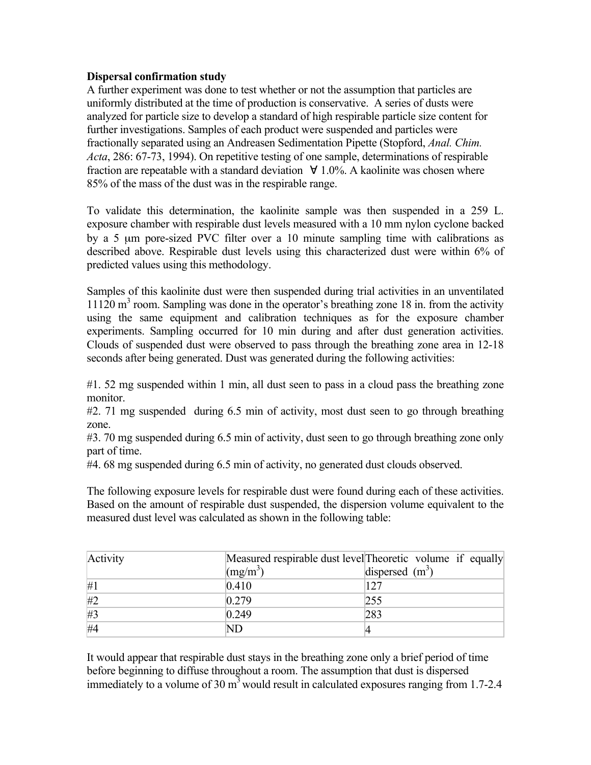## **Dispersal confirmation study**

A further experiment was done to test whether or not the assumption that particles are uniformly distributed at the time of production is conservative. A series of dusts were analyzed for particle size to develop a standard of high respirable particle size content for further investigations. Samples of each product were suspended and particles were fractionally separated using an Andreasen Sedimentation Pipette (Stopford, *Anal. Chim. Acta*, 286: 67-73, 1994). On repetitive testing of one sample, determinations of respirable fraction are repeatable with a standard deviation  $\forall$  1.0%. A kaolinite was chosen where 85% of the mass of the dust was in the respirable range.

To validate this determination, the kaolinite sample was then suspended in a 259 L. exposure chamber with respirable dust levels measured with a 10 mm nylon cyclone backed by a 5 µm pore-sized PVC filter over a 10 minute sampling time with calibrations as described above. Respirable dust levels using this characterized dust were within 6% of predicted values using this methodology.

Samples of this kaolinite dust were then suspended during trial activities in an unventilated  $11120 \text{ m}^3$  room. Sampling was done in the operator's breathing zone 18 in. from the activity using the same equipment and calibration techniques as for the exposure chamber experiments. Sampling occurred for 10 min during and after dust generation activities. Clouds of suspended dust were observed to pass through the breathing zone area in 12-18 seconds after being generated. Dust was generated during the following activities:

#1. 52 mg suspended within 1 min, all dust seen to pass in a cloud pass the breathing zone monitor.

#2. 71 mg suspended during 6.5 min of activity, most dust seen to go through breathing zone.

#3. 70 mg suspended during 6.5 min of activity, dust seen to go through breathing zone only part of time.

#4. 68 mg suspended during 6.5 min of activity, no generated dust clouds observed.

The following exposure levels for respirable dust were found during each of these activities. Based on the amount of respirable dust suspended, the dispersion volume equivalent to the measured dust level was calculated as shown in the following table:

| Activity |                  | Measured respirable dust level Theoretic volume if equally |
|----------|------------------|------------------------------------------------------------|
|          | $\text{Im}(m^3)$ | dispersed $(m^3)$                                          |
| #1       | 0.410            | 127                                                        |
| #2       | 0.279            | 255                                                        |
| #3       | 0.249            | 283                                                        |
| #4       | ND               |                                                            |

It would appear that respirable dust stays in the breathing zone only a brief period of time before beginning to diffuse throughout a room. The assumption that dust is dispersed immediately to a volume of 30  $m<sup>3</sup>$  would result in calculated exposures ranging from 1.7-2.4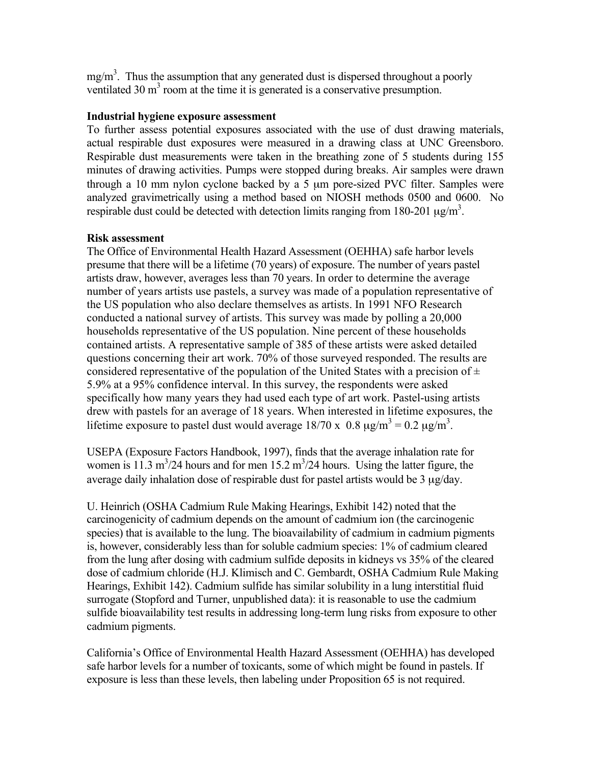$mg/m<sup>3</sup>$ . Thus the assumption that any generated dust is dispersed throughout a poorly ventilated 30  $m<sup>3</sup>$  room at the time it is generated is a conservative presumption.

## **Industrial hygiene exposure assessment**

To further assess potential exposures associated with the use of dust drawing materials, actual respirable dust exposures were measured in a drawing class at UNC Greensboro. Respirable dust measurements were taken in the breathing zone of 5 students during 155 minutes of drawing activities. Pumps were stopped during breaks. Air samples were drawn through a 10 mm nylon cyclone backed by a 5 µm pore-sized PVC filter. Samples were analyzed gravimetrically using a method based on NIOSH methods 0500 and 0600. No respirable dust could be detected with detection limits ranging from 180-201  $\mu$ g/m<sup>3</sup>.

### **Risk assessment**

The Office of Environmental Health Hazard Assessment (OEHHA) safe harbor levels presume that there will be a lifetime (70 years) of exposure. The number of years pastel artists draw, however, averages less than 70 years. In order to determine the average number of years artists use pastels, a survey was made of a population representative of the US population who also declare themselves as artists. In 1991 NFO Research conducted a national survey of artists. This survey was made by polling a 20,000 households representative of the US population. Nine percent of these households contained artists. A representative sample of 385 of these artists were asked detailed questions concerning their art work. 70% of those surveyed responded. The results are considered representative of the population of the United States with a precision of  $\pm$ 5.9% at a 95% confidence interval. In this survey, the respondents were asked specifically how many years they had used each type of art work. Pastel-using artists drew with pastels for an average of 18 years. When interested in lifetime exposures, the lifetime exposure to pastel dust would average  $18/70 \times 0.8 \mu g/m^3 = 0.2 \mu g/m^3$ .

USEPA (Exposure Factors Handbook, 1997), finds that the average inhalation rate for women is 11.3 m<sup>3</sup>/24 hours and for men 15.2 m<sup>3</sup>/24 hours. Using the latter figure, the average daily inhalation dose of respirable dust for pastel artists would be 3  $\mu$ g/day.

U. Heinrich (OSHA Cadmium Rule Making Hearings, Exhibit 142) noted that the carcinogenicity of cadmium depends on the amount of cadmium ion (the carcinogenic species) that is available to the lung. The bioavailability of cadmium in cadmium pigments is, however, considerably less than for soluble cadmium species: 1% of cadmium cleared from the lung after dosing with cadmium sulfide deposits in kidneys vs 35% of the cleared dose of cadmium chloride (H.J. Klimisch and C. Gembardt, OSHA Cadmium Rule Making Hearings, Exhibit 142). Cadmium sulfide has similar solubility in a lung interstitial fluid surrogate (Stopford and Turner, unpublished data): it is reasonable to use the cadmium sulfide bioavailability test results in addressing long-term lung risks from exposure to other cadmium pigments.

California's Office of Environmental Health Hazard Assessment (OEHHA) has developed safe harbor levels for a number of toxicants, some of which might be found in pastels. If exposure is less than these levels, then labeling under Proposition 65 is not required.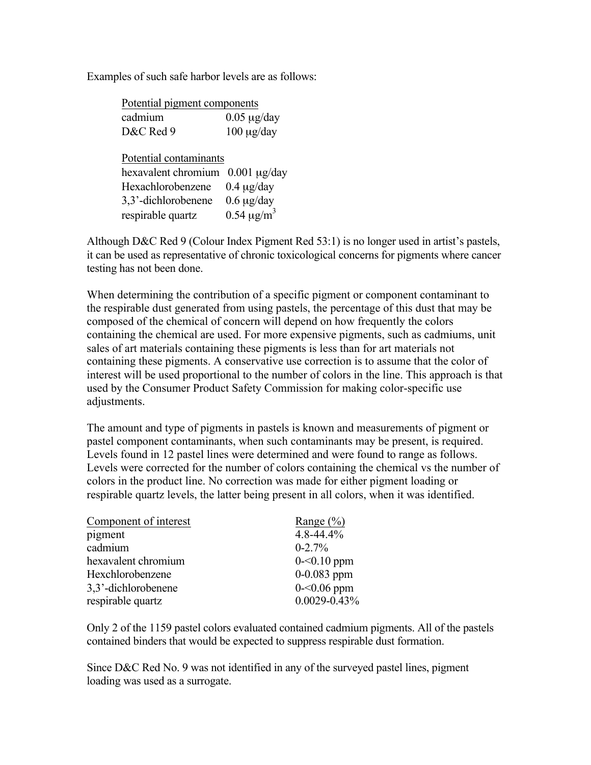Examples of such safe harbor levels are as follows:

| Potential pigment components |                             |
|------------------------------|-----------------------------|
| cadmium                      | $0.05 \mu g/day$            |
| D&C Red 9                    | $100 \mu g/day$             |
|                              |                             |
| Potential contaminants       |                             |
| hexavalent chromium          | $0.001 \mu g/day$           |
| Hexachlorobenzene            | $0.4 \mu g/day$             |
| 3,3'-dichlorobenene          | $0.6 \mu g/day$             |
| respirable quartz            | $0.54 \,\mathrm{\mu g/m}^3$ |

Although D&C Red 9 (Colour Index Pigment Red 53:1) is no longer used in artist's pastels, it can be used as representative of chronic toxicological concerns for pigments where cancer testing has not been done.

When determining the contribution of a specific pigment or component contaminant to the respirable dust generated from using pastels, the percentage of this dust that may be composed of the chemical of concern will depend on how frequently the colors containing the chemical are used. For more expensive pigments, such as cadmiums, unit sales of art materials containing these pigments is less than for art materials not containing these pigments. A conservative use correction is to assume that the color of interest will be used proportional to the number of colors in the line. This approach is that used by the Consumer Product Safety Commission for making color-specific use adjustments.

The amount and type of pigments in pastels is known and measurements of pigment or pastel component contaminants, when such contaminants may be present, is required. Levels found in 12 pastel lines were determined and were found to range as follows. Levels were corrected for the number of colors containing the chemical vs the number of colors in the product line. No correction was made for either pigment loading or respirable quartz levels, the latter being present in all colors, when it was identified.

| Component of interest | Range $(\% )$     |
|-----------------------|-------------------|
| pigment               | $4.8 - 44.4%$     |
| cadmium               | $0 - 2.7%$        |
| hexavalent chromium   | $0 - 0.10$ ppm    |
| Hexchlorobenzene      | $0-0.083$ ppm     |
| 3,3'-dichlorobenene   | $0 - 0.06$ ppm    |
| respirable quartz     | $0.0029 - 0.43\%$ |

Only 2 of the 1159 pastel colors evaluated contained cadmium pigments. All of the pastels contained binders that would be expected to suppress respirable dust formation.

Since D&C Red No. 9 was not identified in any of the surveyed pastel lines, pigment loading was used as a surrogate.